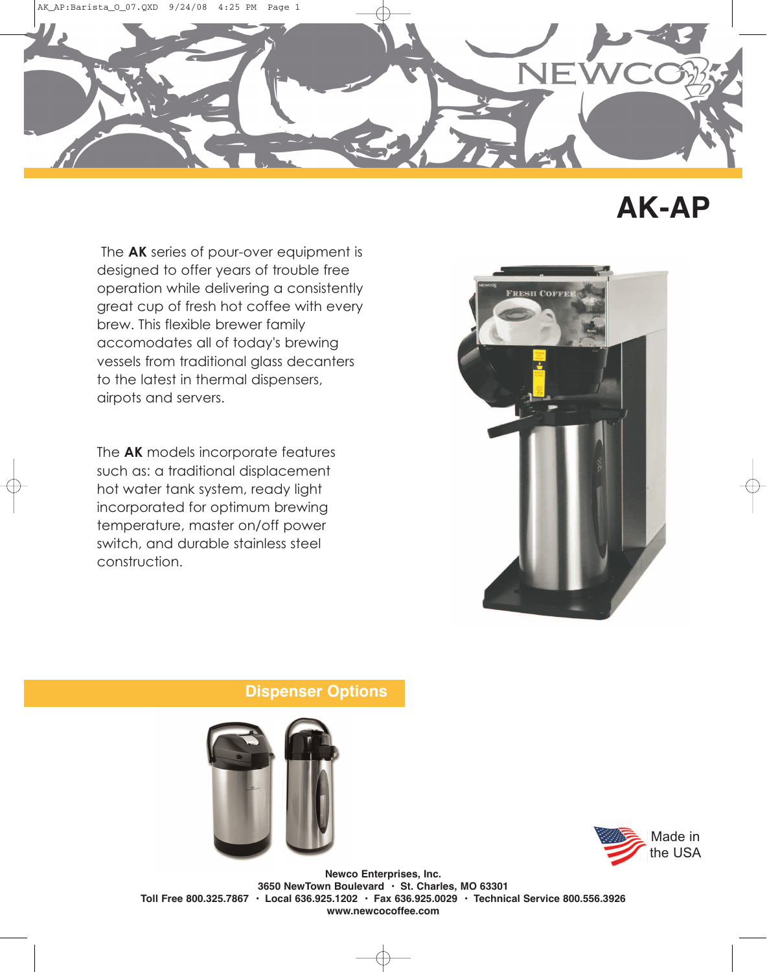

## **AK-AP**

The **AK** series of pour-over equipment is designed to offer years of trouble free operation while delivering a consistently great cup of fresh hot coffee with every brew. This flexible brewer family accomodates all of today's brewing vessels from traditional glass decanters to the latest in thermal dispensers, airpots and servers.

The **AK** models incorporate features such as: a traditional displacement hot water tank system, ready light incorporated for optimum brewing temperature, master on/off power switch, and durable stainless steel construction.



## **Dispenser Options**





**Newco Enterprises, Inc. 3650 NewTown Boulevard • St. Charles, MO 63301 Toll Free 800.325.7867 • Local 636.925.1202 • Fax 636.925.0029 • Technical Service 800.556.3926 www.newcocoffee.com**